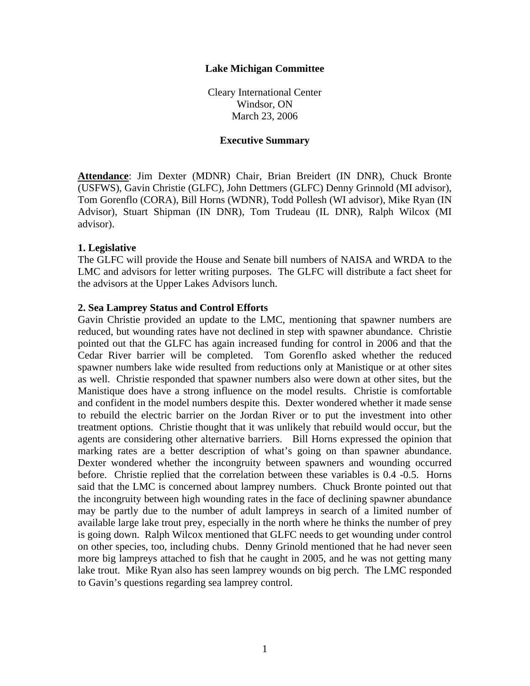### **Lake Michigan Committee**

Cleary International Center Windsor, ON March 23, 2006

#### **Executive Summary**

**Attendance**: Jim Dexter (MDNR) Chair, Brian Breidert (IN DNR), Chuck Bronte (USFWS), Gavin Christie (GLFC), John Dettmers (GLFC) Denny Grinnold (MI advisor), Tom Gorenflo (CORA), Bill Horns (WDNR), Todd Pollesh (WI advisor), Mike Ryan (IN Advisor), Stuart Shipman (IN DNR), Tom Trudeau (IL DNR), Ralph Wilcox (MI advisor).

#### **1. Legislative**

The GLFC will provide the House and Senate bill numbers of NAISA and WRDA to the LMC and advisors for letter writing purposes. The GLFC will distribute a fact sheet for the advisors at the Upper Lakes Advisors lunch.

#### **2. Sea Lamprey Status and Control Efforts**

Gavin Christie provided an update to the LMC, mentioning that spawner numbers are reduced, but wounding rates have not declined in step with spawner abundance. Christie pointed out that the GLFC has again increased funding for control in 2006 and that the Cedar River barrier will be completed. Tom Gorenflo asked whether the reduced spawner numbers lake wide resulted from reductions only at Manistique or at other sites as well. Christie responded that spawner numbers also were down at other sites, but the Manistique does have a strong influence on the model results. Christie is comfortable and confident in the model numbers despite this. Dexter wondered whether it made sense to rebuild the electric barrier on the Jordan River or to put the investment into other treatment options. Christie thought that it was unlikely that rebuild would occur, but the agents are considering other alternative barriers. Bill Horns expressed the opinion that marking rates are a better description of what's going on than spawner abundance. Dexter wondered whether the incongruity between spawners and wounding occurred before. Christie replied that the correlation between these variables is 0.4 -0.5. Horns said that the LMC is concerned about lamprey numbers. Chuck Bronte pointed out that the incongruity between high wounding rates in the face of declining spawner abundance may be partly due to the number of adult lampreys in search of a limited number of available large lake trout prey, especially in the north where he thinks the number of prey is going down. Ralph Wilcox mentioned that GLFC needs to get wounding under control on other species, too, including chubs. Denny Grinold mentioned that he had never seen more big lampreys attached to fish that he caught in 2005, and he was not getting many lake trout. Mike Ryan also has seen lamprey wounds on big perch. The LMC responded to Gavin's questions regarding sea lamprey control.